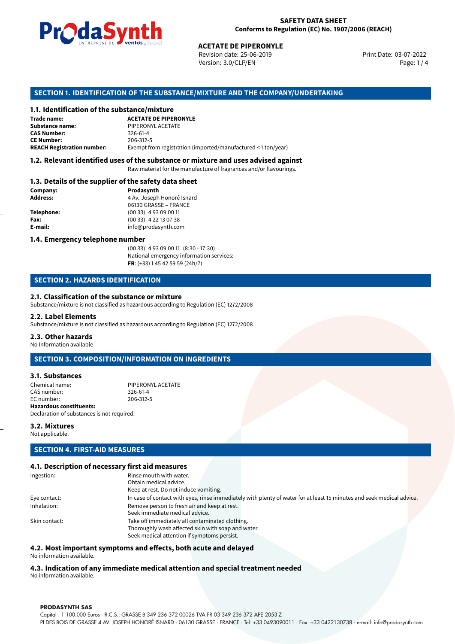

Revision date: 25-06-2019 Version: 3.0/CLP/EN Page: 1 / 4

Print Date: 03-07-2022

### **SECTION 1. IDENTIFICATION OF THE SUBSTANCE/MIXTURE AND THE COMPANY/UNDERTAKING**

### **1.1. Identification of the substance/mixture**

|                                              | LINING THE LIST OF STREET WILD SERVICE.<br><b>ACETATE DE PIPERONYLE</b><br>Revision date: 25-06-2019<br>Version: 3.0/CLP/EN |
|----------------------------------------------|-----------------------------------------------------------------------------------------------------------------------------|
|                                              | SECTION 1. IDENTIFICATION OF THE SUBSTANCE/MIXTURE AND THE COMPANY/U                                                        |
| 1.1. Identification of the substance/mixture |                                                                                                                             |
| Trade name:                                  | <b>ACETATE DE PIPERONYLE</b>                                                                                                |
| Substance name:                              | PIPERONYL ACETATE                                                                                                           |
| <b>CAS Number:</b>                           | 326-61-4                                                                                                                    |
| <b>CE Number:</b>                            | 206-312-5                                                                                                                   |
| <b>REACH Registration number:</b>            | Exempt from registration (imported/manufactured < 1 ton/year)                                                               |
|                                              |                                                                                                                             |

### **1.2. Relevant identified uses of the substance or mixture and uses advised against**

Raw material for the manufacture of fragrances and/or flavourings.

### **1.3. Details of the supplier of the safety data sheet**

| Company:          | Prodasynth                 |  |
|-------------------|----------------------------|--|
| <b>Address:</b>   | 4 Av. Joseph Honoré Isnard |  |
|                   | 06130 GRASSE - FRANCE      |  |
| <b>Telephone:</b> | $(0033)$ 4 93 09 00 11     |  |
| Fax:              | $(0033)$ 4 22 13 07 38     |  |
| E-mail:           | info@prodasynth.com        |  |
|                   |                            |  |

### **1.4. Emergency telephone number**

(00 33) 4 93 09 00 11 (8:30 - 17:30) National emergency information services: **FR**: (+33) 1 45 42 59 59 (24h/7)

### **SECTION 2. HAZARDS IDENTIFICATION**

### **2.1. Classification of the substance or mixture**

Substance/mixture is not classified as hazardous according to Regulation (EC) 1272/2008

### **2.2. Label Elements**

Substance/mixture is not classified as hazardous according to Regulation (EC) 1272/2008

### **2.3. Other hazards**

No Information available

### **SECTION 3. COMPOSITION/INFORMATION ON INGREDIENTS**

### **3.1. Substances**

Chemical name: PIPERONYL ACETATE CAS number: 326-61-4<br>EC number: 206-312-5 EC number: **Hazardous constituents:** Declaration of substances is not required.

### **3.2. Mixtures**

Not applicable.

### **SECTION 4. FIRST-AID MEASURES**

### **4.1. Description of necessary first aid measures**

| Ingestion:    | Rinse mouth with water.                                                                                               |  |
|---------------|-----------------------------------------------------------------------------------------------------------------------|--|
|               | Obtain medical advice.                                                                                                |  |
|               | Keep at rest. Do not induce vomiting.                                                                                 |  |
| Eye contact:  | In case of contact with eyes, rinse immediately with plenty of water for at least 15 minutes and seek medical advice. |  |
| Inhalation:   | Remove person to fresh air and keep at rest.                                                                          |  |
|               | Seek immediate medical advice.                                                                                        |  |
| Skin contact: | Take off immediately all contaminated clothing.                                                                       |  |
|               | Thoroughly wash affected skin with soap and water.                                                                    |  |
|               | Seek medical attention if symptoms persist.                                                                           |  |
|               |                                                                                                                       |  |

### **4.2. Most important symptoms and effects, both acute and delayed**

No information available.

# **4.3. Indication of any immediate medical attention and special treatment needed**

No information available.

### **PRODASYNTH SAS**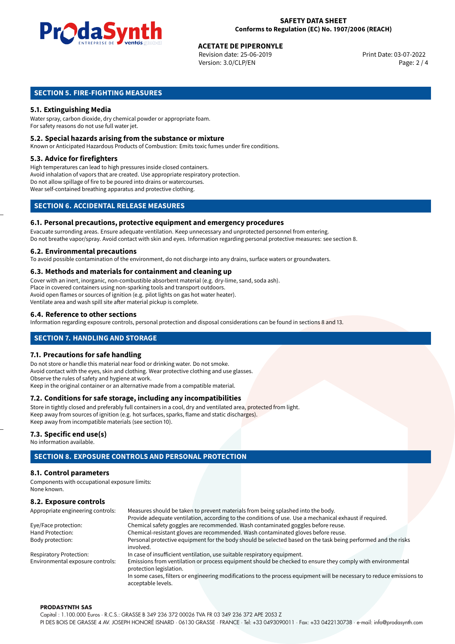

# **ACETATE DE PIPERONYLE**<br>
Revision date: 25-06-2019<br> **Print Date: 03-07-2022**

Revision date: 25-06-2019 Version: 3.0/CLP/EN Page: 2 / 4

### **SECTION 5. FIRE-FIGHTING MEASURES**

### **5.1. Extinguishing Media**

Water spray, carbon dioxide, dry chemical powder or appropriate foam. For safety reasons do not use full water jet.

### **5.2. Special hazards arising from the substance or mixture**

Known or Anticipated Hazardous Products of Combustion: Emits toxic fumes under fire conditions.

### **5.3. Advice for firefighters**

High temperatures can lead to high pressures inside closed containers. Avoid inhalation of vapors that are created. Use appropriate respiratory protection. Do not allow spillage of fire to be poured into drains or watercourses. Wear self-contained breathing apparatus and protective clothing.

### **SECTION 6. ACCIDENTAL RELEASE MEASURES**

### **6.1. Personal precautions, protective equipment and emergency procedures**

Evacuate surronding areas. Ensure adequate ventilation. Keep unnecessary and unprotected personnel from entering. Do not breathe vapor/spray. Avoid contact with skin and eyes. Information regarding personal protective measures: see section 8.

### **6.2. Environmental precautions**

To avoid possible contamination of the environment, do not discharge into any drains, surface waters or groundwaters.

### **6.3. Methods and materials for containment and cleaning up**

Cover with an inert, inorganic, non-combustible absorbent material (e.g. dry-lime, sand, soda ash). Place in covered containers using non-sparking tools and transport outdoors. Avoid open flames or sources of ignition (e.g. pilot lights on gas hot water heater). Ventilate area and wash spill site after material pickup is complete.

### **6.4. Reference to other sections**

Information regarding exposure controls, personal protection and disposal considerations can be found in sections 8 and 13.

### **SECTION 7. HANDLING AND STORAGE**

### **7.1. Precautions for safe handling**

Do not store or handle this material near food or drinking water. Do not smoke. Avoid contact with the eyes, skin and clothing. Wear protective clothing and use glasses. Observe the rules of safety and hygiene at work. Keep in the original container or an alternative made from a compatible material.

# **7.2. Conditions for safe storage, including any incompatibilities**

Store in tightly closed and preferably full containers in a cool, dry and ventilated area, protected from light. Keep away from sources of ignition (e.g. hot surfaces, sparks, flame and static discharges). Keep away from incompatible materials (see section 10).

### **7.3. Specific end use(s)**

No information available.

# **SECTION 8. EXPOSURE CONTROLS AND PERSONAL PROTECTION**

### **8.1. Control parameters**

Components with occupational exposure limits: None known.

### **8.2. Exposure controls**

| Appropriate engineering controls: | Measures should be taken to prevent materials from being splashed into the body.                                                            |  |  |
|-----------------------------------|---------------------------------------------------------------------------------------------------------------------------------------------|--|--|
|                                   | Provide adequate ventilation, according to the conditions of use. Use a mechanical exhaust if required.                                     |  |  |
| Eye/Face protection:              | Chemical safety goggles are recommended. Wash contaminated goggles before reuse.                                                            |  |  |
| Hand Protection:                  | Chemical-resistant gloves are recommended. Wash contaminated gloves before reuse.                                                           |  |  |
| Body protection:                  | Personal protective equipment for the body should be selected based on the task being performed and the risks                               |  |  |
|                                   | involved.                                                                                                                                   |  |  |
| <b>Respiratory Protection:</b>    | In case of insufficient ventilation, use suitable respiratory equipment.                                                                    |  |  |
| Environmental exposure controls:  | Emissions from ventilation or process equipment should be checked to ensure they comply with environmental<br>protection legislation.       |  |  |
|                                   | In some cases, filters or engineering modifications to the process equipment will be necessary to reduce emissions to<br>acceptable levels. |  |  |

#### **PRODASYNTH SAS**

Capital : 1.100.000 Euros · R.C.S.: GRASSE B 349 236 372 00026 TVA FR 03 349 236 372 APE 2053 Z PI DES BOIS DE GRASSE 4 AV. JOSEPH HONORÉ ISNARD · 06130 GRASSE · FRANCE · Tel: +33 0493090011 · Fax: +33 0422130738 · e-mail: info@prodasynth.com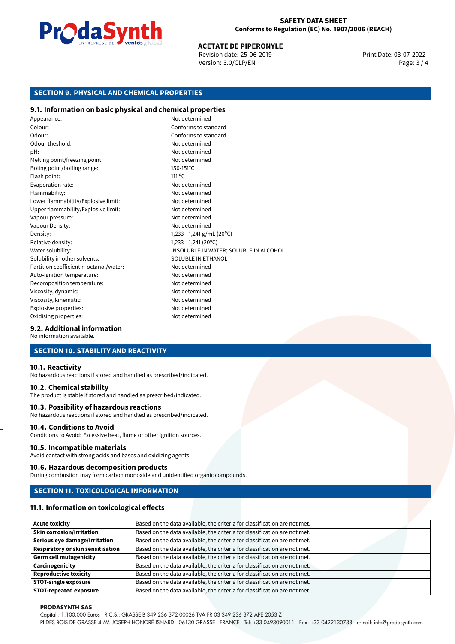

# **ACETATE DE PIPERONYLE**<br>
Revision date: 25-06-2019<br> **Print Date: 03-07-2022**

Revision date: 25-06-2019 Version: 3.0/CLP/EN Page: 3 / 4

## **SECTION 9. PHYSICAL AND CHEMICAL PROPERTIES**

### **9.1. Information on basic physical and chemical properties**

Appearance: Not determined Colour: Conforms to standard Odour: Conforms to standard Odour theshold: Not determined pH: Not determined Melting point/freezing point: Not determined Boling point/boiling range: 150-151°C Flash point: 111 °C Evaporation rate: Not determined Flammability: Not determined Lower flammability/Explosive limit: Not determined Upper flammability/Explosive limit: Not determined Vapour pressure: Vapour pressure: Not determined Vapour Density: Not determined Density: 1,233−1,241 g/mL (20°C)<br>Relative density: 1,233−1,241 (20°C) Relative density:<br>Water solubility: INSOLUBLE IN WATER; SOLUBLE IN ALCOHOL Solubility in other solvents: SOLUBLE IN ETHANOL Partition coefficient n-octanol/water: Not determined Auto-ignition temperature: Not determined Decomposition temperature: Not determined Viscosity, dynamic:  $\blacksquare$ Viscosity, kinematic: Not determined Explosive properties: Not determined Oxidising properties: Not determined

### **9.2. Additional information**

No information available.

### **SECTION 10. STABILITY AND REACTIVITY**

### **10.1. Reactivity**

No hazardous reactions if stored and handled as prescribed/indicated.

### **10.2. Chemical stability**

The product is stable if stored and handled as prescribed/indicated.

### **10.3. Possibility of hazardous reactions**

No hazardous reactions if stored and handled as prescribed/indicated.

### **10.4. Conditions to Avoid**

Conditions to Avoid: Excessive heat, flame or other ignition sources.

### **10.5. Incompatible materials**

Avoid contact with strong acids and bases and oxidizing agents.

### **10.6. Hazardous decomposition products**

During combustion may form carbon monoxide and unidentified organic compounds.

### **SECTION 11. TOXICOLOGICAL INFORMATION**

### **11.1. Information on toxicological effects**

| <b>Acute toxicity</b>                    | Based on the data available, the criteria for classification are not met. |
|------------------------------------------|---------------------------------------------------------------------------|
| <b>Skin corrosion/irritation</b>         | Based on the data available, the criteria for classification are not met. |
| Serious eye damage/irritation            | Based on the data available, the criteria for classification are not met. |
| <b>Respiratory or skin sensitisation</b> | Based on the data available, the criteria for classification are not met. |
| <b>Germ cell mutagenicity</b>            | Based on the data available, the criteria for classification are not met. |
| Carcinogenicity                          | Based on the data available, the criteria for classification are not met. |
| <b>Reproductive toxicity</b>             | Based on the data available, the criteria for classification are not met. |
| <b>STOT-single exposure</b>              | Based on the data available, the criteria for classification are not met. |
| <b>STOT-repeated exposure</b>            | Based on the data available, the criteria for classification are not met. |

#### **PRODASYNTH SAS**

Capital : 1.100.000 Euros · R.C.S.: GRASSE B 349 236 372 00026 TVA FR 03 349 236 372 APE 2053 Z

PI DES BOIS DE GRASSE 4 AV. JOSEPH HONORÉ ISNARD · 06130 GRASSE · FRANCE · Tel: +33 0493090011 · Fax: +33 0422130738 · e-mail: info@prodasynth.com